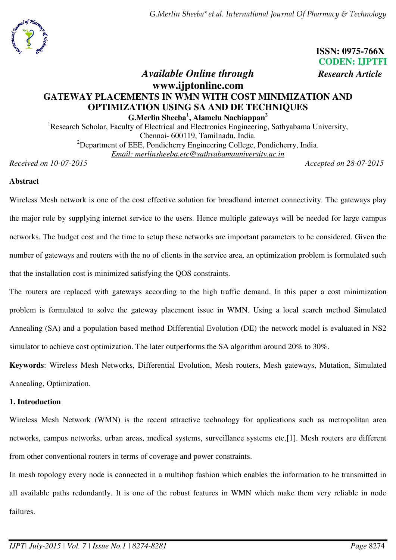*G.Merlin Sheeba\*et al. International Journal Of Pharmacy & Technology* 



 **ISSN: 0975-766X CODEN: IJPTFI** *Available Online through Research Article*

# **www.ijptonline.com GATEWAY PLACEMENTS IN WMN WITH COST MINIMIZATION AND OPTIMIZATION USING SA AND DE TECHNIQUES G.Merlin Sheeba<sup>1</sup> , Alamelu Nachiappan<sup>2</sup>**

<sup>1</sup>Research Scholar, Faculty of Electrical and Electronics Engineering, Sathyabama University, Chennai- 600119, Tamilnadu, India. <sup>2</sup>Department of EEE, Pondicherry Engineering College, Pondicherry, India. *Email: merlinsheeba.etc@sathyabamauniversity.ac.in* 

*Received on 10-07-2015 Accepted on 28-07-2015*

### **Abstract**

Wireless Mesh network is one of the cost effective solution for broadband internet connectivity. The gateways play the major role by supplying internet service to the users. Hence multiple gateways will be needed for large campus networks. The budget cost and the time to setup these networks are important parameters to be considered. Given the number of gateways and routers with the no of clients in the service area, an optimization problem is formulated such that the installation cost is minimized satisfying the QOS constraints.

The routers are replaced with gateways according to the high traffic demand. In this paper a cost minimization problem is formulated to solve the gateway placement issue in WMN. Using a local search method Simulated Annealing (SA) and a population based method Differential Evolution (DE) the network model is evaluated in NS2 simulator to achieve cost optimization. The later outperforms the SA algorithm around 20% to 30%.

**Keywords**: Wireless Mesh Networks, Differential Evolution, Mesh routers, Mesh gateways, Mutation, Simulated Annealing, Optimization.

### **1. Introduction**

Wireless Mesh Network (WMN) is the recent attractive technology for applications such as metropolitan area networks, campus networks, urban areas, medical systems, surveillance systems etc.[1]. Mesh routers are different from other conventional routers in terms of coverage and power constraints.

In mesh topology every node is connected in a multihop fashion which enables the information to be transmitted in all available paths redundantly. It is one of the robust features in WMN which make them very reliable in node failures.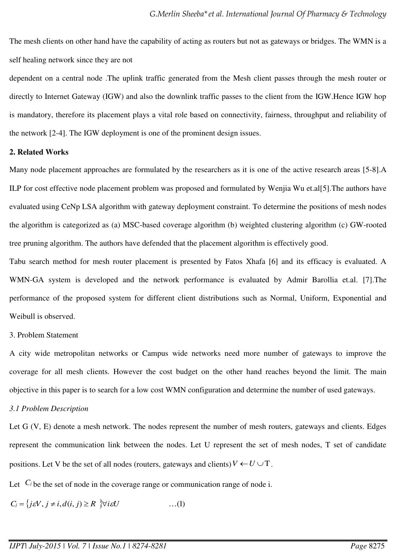The mesh clients on other hand have the capability of acting as routers but not as gateways or bridges. The WMN is a self healing network since they are not

dependent on a central node .The uplink traffic generated from the Mesh client passes through the mesh router or directly to Internet Gateway (IGW) and also the downlink traffic passes to the client from the IGW.Hence IGW hop is mandatory, therefore its placement plays a vital role based on connectivity, fairness, throughput and reliability of the network [2-4]. The IGW deployment is one of the prominent design issues.

#### **2. Related Works**

Many node placement approaches are formulated by the researchers as it is one of the active research areas [5-8].A ILP for cost effective node placement problem was proposed and formulated by Wenjia Wu et.al[5].The authors have evaluated using CeNp LSA algorithm with gateway deployment constraint. To determine the positions of mesh nodes the algorithm is categorized as (a) MSC-based coverage algorithm (b) weighted clustering algorithm (c) GW-rooted tree pruning algorithm. The authors have defended that the placement algorithm is effectively good.

Tabu search method for mesh router placement is presented by Fatos Xhafa [6] and its efficacy is evaluated. A WMN-GA system is developed and the network performance is evaluated by Admir Barollia et.al. [7].The performance of the proposed system for different client distributions such as Normal, Uniform, Exponential and Weibull is observed.

#### 3. Problem Statement

A city wide metropolitan networks or Campus wide networks need more number of gateways to improve the coverage for all mesh clients. However the cost budget on the other hand reaches beyond the limit. The main objective in this paper is to search for a low cost WMN configuration and determine the number of used gateways.

#### *3.1 Problem Description*

Let G (V, E) denote a mesh network. The nodes represent the number of mesh routers, gateways and clients. Edges represent the communication link between the nodes. Let U represent the set of mesh nodes, T set of candidate positions. Let V be the set of all nodes (routers, gateways and clients)  $V \leftarrow U \cup T$ .

Let  $C_j$  be the set of node in the coverage range or communication range of node i.

$$
C_j = \{j\varepsilon V, j \neq i, d(i, j) \geq R \ \forall i \varepsilon U \tag{1}
$$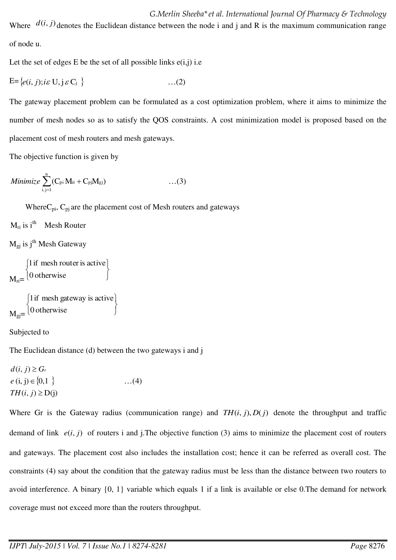*G.Merlin Sheeba\*et al. International Journal Of Pharmacy & Technology*  Where  $d(i, j)$  denotes the Euclidean distance between the node i and j and R is the maximum communication range of node u.

Let the set of edges E be the set of all possible links  $e(i,j)$  i.e

$$
E = \{e(i, j); i \in U, j \in C_j \}
$$
...(2)

The gateway placement problem can be formulated as a cost optimization problem, where it aims to minimize the number of mesh nodes so as to satisfy the QOS constraints. A cost minimization model is proposed based on the placement cost of mesh routers and mesh gateways.

The objective function is given by

Minimize 
$$
\sum_{i,j=1}^{n} (C_{pi} M_{ri} + C_{pj} M_{gj}) \qquad \qquad \dots (3)
$$

Where $C_{pi}$ ,  $C_{pi}$  are the placement cost of Mesh routers and gateways

 $M_{ri}$  is  $i^{th}$  Mesh Router

 $M_{gi}$  is j<sup>th</sup> Mesh Gateway

```
M_{ri} = \begin{bmatrix} 0 \text{ otherwise} \end{bmatrix}\left\{ \right\}1 if mesh router is active
\big\{\n0 otherwise
```

```
M_{gj}= [0 otherwise ]
                                               \left\{ \right\}\overline{\phantom{a}}\overline{\mathcal{L}}┤
\left( 0 otherwise
   1if mesh gateway is active
```
Subjected to

The Euclidean distance (d) between the two gateways i and j

 $e$  (i, j)  $\in \{0,1\}$  $TH(i, j) \ge D(j)$  $d(i, j) \geq G_r$  $\dots(4)$ 

Where Gr is the Gateway radius (communication range) and  $TH(i, j), D(j)$  denote the throughput and traffic demand of link  $e(i, j)$  of routers i and j.The objective function (3) aims to minimize the placement cost of routers and gateways. The placement cost also includes the installation cost; hence it can be referred as overall cost. The constraints (4) say about the condition that the gateway radius must be less than the distance between two routers to avoid interference. A binary {0, 1} variable which equals 1 if a link is available or else 0.The demand for network coverage must not exceed more than the routers throughput.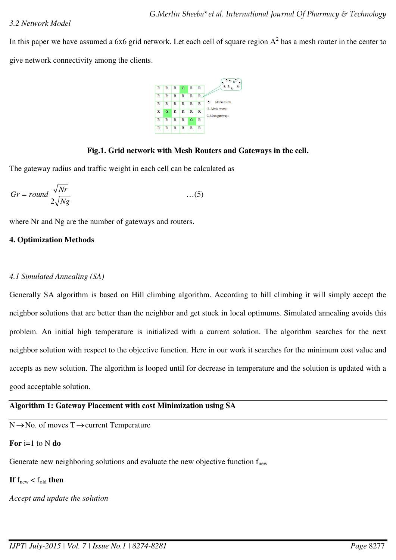In this paper we have assumed a 6x6 grid network. Let each cell of square region  $A^2$  has a mesh router in the center to give network connectivity among the clients.



### **Fig.1. Grid network with Mesh Routers and Gateways in the cell.**

The gateway radius and traffic weight in each cell can be calculated as

$$
Gr = round \frac{\sqrt{Nr}}{2\sqrt{Ng}}
$$
...(5)

where Nr and Ng are the number of gateways and routers.

### **4. Optimization Methods**

### *4.1 Simulated Annealing (SA)*

Generally SA algorithm is based on Hill climbing algorithm. According to hill climbing it will simply accept the neighbor solutions that are better than the neighbor and get stuck in local optimums. Simulated annealing avoids this problem. An initial high temperature is initialized with a current solution. The algorithm searches for the next neighbor solution with respect to the objective function. Here in our work it searches for the minimum cost value and accepts as new solution. The algorithm is looped until for decrease in temperature and the solution is updated with a good acceptable solution.

### **Algorithm 1: Gateway Placement with cost Minimization using SA**

 $N \rightarrow No.$  of moves  $T \rightarrow$  current Temperature

# **For** i=1 to N **do**

Generate new neighboring solutions and evaluate the new objective function  $f_{\text{new}}$ 

**If**  $f_{\text{new}} < f_{\text{old}}$  **then** 

*Accept and update the solution*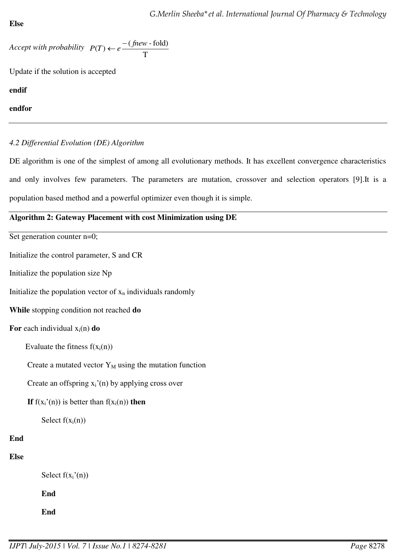```
Else
```

```
Accept with probability 
                                                     T
                             P(T) \leftarrow e \frac{-(\text{fnew-fold})}{T}
```
Update if the solution is accepted

**endif** 

**endfor** 

# *4.2 Differential Evolution (DE) Algorithm*

DE algorithm is one of the simplest of among all evolutionary methods. It has excellent convergence characteristics and only involves few parameters. The parameters are mutation, crossover and selection operators [9].It is a population based method and a powerful optimizer even though it is simple.

# **Algorithm 2: Gateway Placement with cost Minimization using DE**

Set generation counter n=0;

Initialize the control parameter, S and CR

Initialize the population size Np

Initialize the population vector of  $x_n$  individuals randomly

**While** stopping condition not reached **do**

**For** each individual  $x_i(n)$  **do** 

Evaluate the fitness  $f(x_i(n))$ 

Create a mutated vector  $Y_M$  using the mutation function

Create an offspring  $x_i'(n)$  by applying cross over

**If**  $f(x_i'(n))$  is better than  $f(x_i(n))$  then

Select  $f(x_i(n))$ 

# **End**

# **Else**

Select  $f(x_i'(n))$ 

**End** 

**End**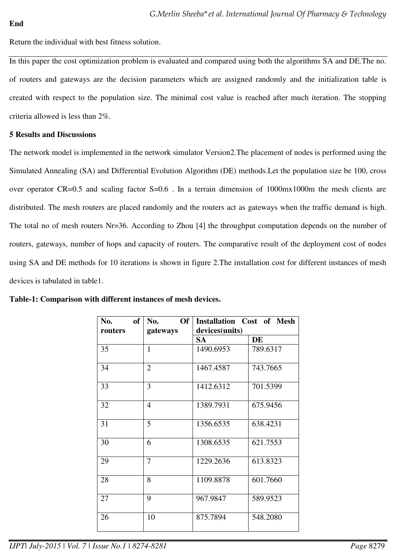Return the individual with best fitness solution.

In this paper the cost optimization problem is evaluated and compared using both the algorithms SA and DE.The no. of routers and gateways are the decision parameters which are assigned randomly and the initialization table is created with respect to the population size. The minimal cost value is reached after much iteration. The stopping criteria allowed is less than 2%.

### **5 Results and Discussions**

The network model is implemented in the network simulator Version2.The placement of nodes is performed using the Simulated Annealing (SA) and Differential Evolution Algorithm (DE) methods.Let the population size be 100, cross over operator CR=0.5 and scaling factor S=0.6. In a terrain dimension of 1000mx1000m the mesh clients are distributed. The mesh routers are placed randomly and the routers act as gateways when the traffic demand is high. The total no of mesh routers Nr=36. According to Zhou [4] the throughput computation depends on the number of routers, gateways, number of hops and capacity of routers. The comparative result of the deployment cost of nodes using SA and DE methods for 10 iterations is shown in figure 2.The installation cost for different instances of mesh devices is tabulated in table1.

| <b>of</b><br>No.<br>routers | Of<br>No.<br>gateways | <b>Installation Cost of Mesh</b><br>devices(units) |           |
|-----------------------------|-----------------------|----------------------------------------------------|-----------|
|                             |                       | SA                                                 | <b>DE</b> |
| 35                          | $\mathbf{1}$          | 1490.6953                                          | 789.6317  |
| 34                          | $\overline{2}$        | 1467.4587                                          | 743.7665  |
| 33                          | 3                     | 1412.6312                                          | 701.5399  |
| 32                          | $\overline{4}$        | 1389.7931                                          | 675.9456  |
| 31                          | 5                     | 1356.6535                                          | 638.4231  |
| 30                          | 6                     | 1308.6535                                          | 621.7553  |
| 29                          | $\overline{7}$        | 1229.2636                                          | 613.8323  |
| 28                          | 8                     | 1109.8878                                          | 601.7660  |
| 27                          | 9                     | 967.9847                                           | 589.9523  |
| 26                          | 10                    | 875.7894                                           | 548.2080  |

| Table-1: Comparison with different instances of mesh devices. |  |
|---------------------------------------------------------------|--|
|---------------------------------------------------------------|--|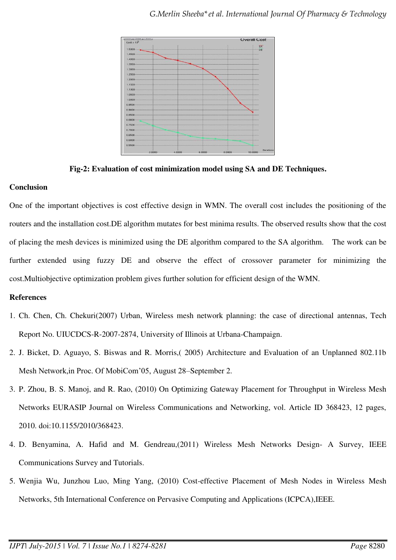

**Fig-2: Evaluation of cost minimization model using SA and DE Techniques.** 

### **Conclusion**

One of the important objectives is cost effective design in WMN. The overall cost includes the positioning of the routers and the installation cost.DE algorithm mutates for best minima results. The observed results show that the cost of placing the mesh devices is minimized using the DE algorithm compared to the SA algorithm. The work can be further extended using fuzzy DE and observe the effect of crossover parameter for minimizing the cost.Multiobjective optimization problem gives further solution for efficient design of the WMN.

### **References**

- 1. Ch. Chen, Ch. Chekuri(2007) Urban, Wireless mesh network planning: the case of directional antennas, Tech Report No. UIUCDCS-R-2007-2874, University of Illinois at Urbana-Champaign.
- 2. J. Bicket, D. Aguayo, S. Biswas and R. Morris,( 2005) Architecture and Evaluation of an Unplanned 802.11b Mesh Network,in Proc. Of MobiCom'05, August 28–September 2.
- 3. P. Zhou, B. S. Manoj, and R. Rao, (2010) On Optimizing Gateway Placement for Throughput in Wireless Mesh Networks EURASIP Journal on Wireless Communications and Networking, vol. Article ID 368423, 12 pages, 2010. doi:10.1155/2010/368423.
- 4. D. Benyamina, A. Hafid and M. Gendreau,(2011) Wireless Mesh Networks Design- A Survey, IEEE Communications Survey and Tutorials.
- 5. Wenjia Wu, Junzhou Luo, Ming Yang, (2010) Cost-effective Placement of Mesh Nodes in Wireless Mesh Networks, 5th International Conference on Pervasive Computing and Applications (ICPCA),IEEE.